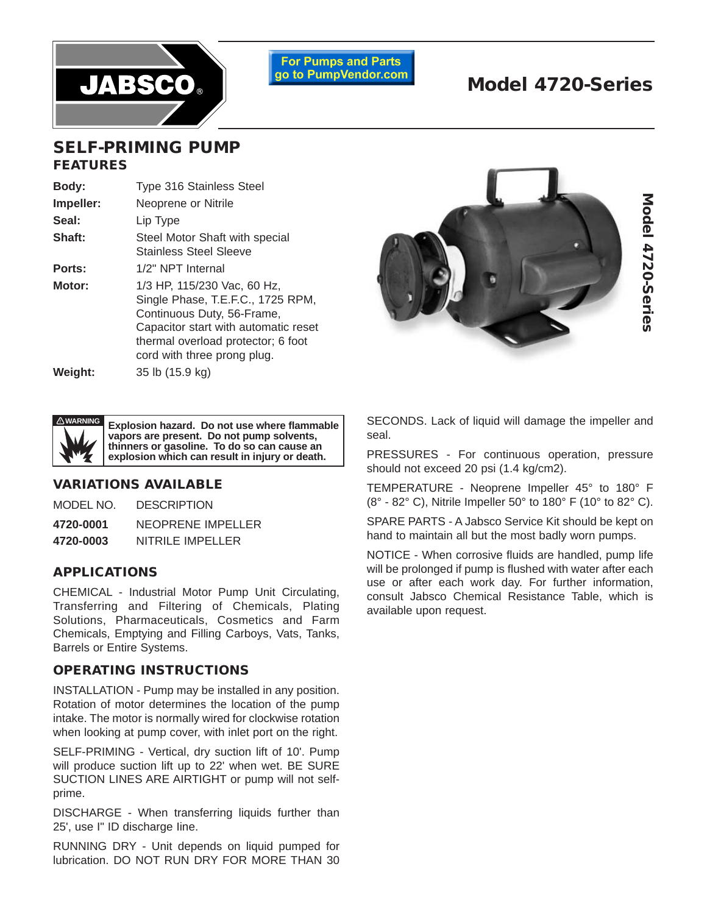

**For Pumps and Parts** go to PumpVendor.com

# **Model 4720-Series**

### **SELF-PRIMING PUMP FEATURES**

| Body:     | <b>Type 316 Stainless Steel</b>                                                                                                                                                                             |  |  |  |
|-----------|-------------------------------------------------------------------------------------------------------------------------------------------------------------------------------------------------------------|--|--|--|
| Impeller: | Neoprene or Nitrile                                                                                                                                                                                         |  |  |  |
| Seal:     | Lip Type                                                                                                                                                                                                    |  |  |  |
| Shaft:    | Steel Motor Shaft with special<br><b>Stainless Steel Sleeve</b>                                                                                                                                             |  |  |  |
| Ports:    | 1/2" NPT Internal                                                                                                                                                                                           |  |  |  |
| Motor:    | 1/3 HP, 115/230 Vac, 60 Hz,<br>Single Phase, T.E.F.C., 1725 RPM,<br>Continuous Duty, 56-Frame,<br>Capacitor start with automatic reset<br>thermal overload protector; 6 foot<br>cord with three prong plug. |  |  |  |
| Weight:   | 35 lb (15.9 kg)                                                                                                                                                                                             |  |  |  |





**Explosion hazard. Do not use where flammable vapors are present. Do not pump solvents, thinners or gasoline. To do so can cause an explosion which can result in injury or death.**

#### **VARIATIONS AVAILABLE**

| MODEL NO. | <b>DESCRIPTION</b> |
|-----------|--------------------|
| 4720-0001 | NEOPRENE IMPELLER  |
| 4720-0003 | NITRILE IMPELLER   |

#### **APPLICATIONS**

CHEMICAL - Industrial Motor Pump Unit Circulating, Transferring and Filtering of Chemicals, Plating Solutions, Pharmaceuticals, Cosmetics and Farm Chemicals, Emptying and Filling Carboys, Vats, Tanks, Barrels or Entire Systems.

#### **OPERATING INSTRUCTIONS**

INSTALLATION - Pump may be installed in any position. Rotation of motor determines the location of the pump intake. The motor is normally wired for clockwise rotation when looking at pump cover, with inlet port on the right.

SELF-PRIMING - Vertical, dry suction lift of 10'. Pump will produce suction lift up to 22' when wet. BE SURE SUCTION LINES ARE AIRTIGHT or pump will not selfprime.

DISCHARGE - When transferring liquids further than 25', use I" ID discharge Iine.

RUNNING DRY - Unit depends on liquid pumped for lubrication. DO NOT RUN DRY FOR MORE THAN 30 SECONDS. Lack of liquid will damage the impeller and seal.

PRESSURES - For continuous operation, pressure should not exceed 20 psi (1.4 kg/cm2).

TEMPERATURE - Neoprene Impeller 45° to 180° F (8° - 82° C), Nitrile Impeller 50° to 180° F (10° to 82° C).

SPARE PARTS - A Jabsco Service Kit should be kept on hand to maintain all but the most badly worn pumps.

NOTICE - When corrosive fluids are handled, pump life will be prolonged if pump is flushed with water after each use or after each work day. For further information, consult Jabsco Chemical Resistance Table, which is available upon request.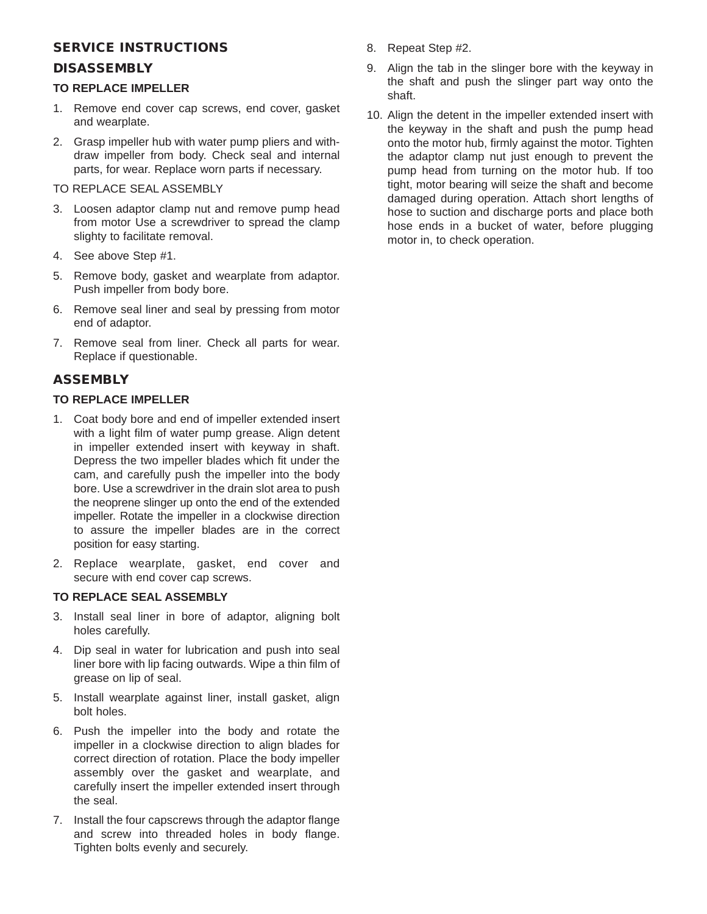#### **SERVICE INSTRUCTIONS**

#### **DISASSEMBLY**

#### **TO REPLACE IMPELLER**

- 1. Remove end cover cap screws, end cover, gasket and wearplate.
- 2. Grasp impeller hub with water pump pliers and withdraw impeller from body. Check seal and internal parts, for wear. Replace worn parts if necessary.
- TO REPLACE SEAL ASSEMBLY
- 3. Loosen adaptor clamp nut and remove pump head from motor Use a screwdriver to spread the clamp slighty to facilitate removal.
- 4. See above Step #1.
- 5. Remove body, gasket and wearplate from adaptor. Push impeller from body bore.
- 6. Remove seal liner and seal by pressing from motor end of adaptor.
- 7. Remove seal from liner. Check all parts for wear. Replace if questionable.

#### **ASSEMBLY**

#### **TO REPLACE IMPELLER**

- 1. Coat body bore and end of impeller extended insert with a light film of water pump grease. Align detent in impeller extended insert with keyway in shaft. Depress the two impeller blades which fit under the cam, and carefully push the impeller into the body bore. Use a screwdriver in the drain slot area to push the neoprene slinger up onto the end of the extended impeller. Rotate the impeller in a clockwise direction to assure the impeller blades are in the correct position for easy starting.
- 2. Replace wearplate, gasket, end cover and secure with end cover cap screws.

#### **TO REPLACE SEAL ASSEMBLY**

- 3. Install seal liner in bore of adaptor, aligning bolt holes carefully.
- 4. Dip seal in water for lubrication and push into seal liner bore with lip facing outwards. Wipe a thin film of grease on lip of seal.
- 5. Install wearplate against liner, install gasket, align bolt holes.
- 6. Push the impeller into the body and rotate the impeller in a clockwise direction to align blades for correct direction of rotation. Place the body impeller assembly over the gasket and wearplate, and carefully insert the impeller extended insert through the seal.
- 7. Install the four capscrews through the adaptor flange and screw into threaded holes in body flange. Tighten bolts evenly and securely.
- 8. Repeat Step #2.
- 9. Align the tab in the slinger bore with the keyway in the shaft and push the slinger part way onto the shaft.
- 10. Align the detent in the impeller extended insert with the keyway in the shaft and push the pump head onto the motor hub, firmly against the motor. Tighten the adaptor clamp nut just enough to prevent the pump head from turning on the motor hub. If too tight, motor bearing will seize the shaft and become damaged during operation. Attach short lengths of hose to suction and discharge ports and place both hose ends in a bucket of water, before plugging motor in, to check operation.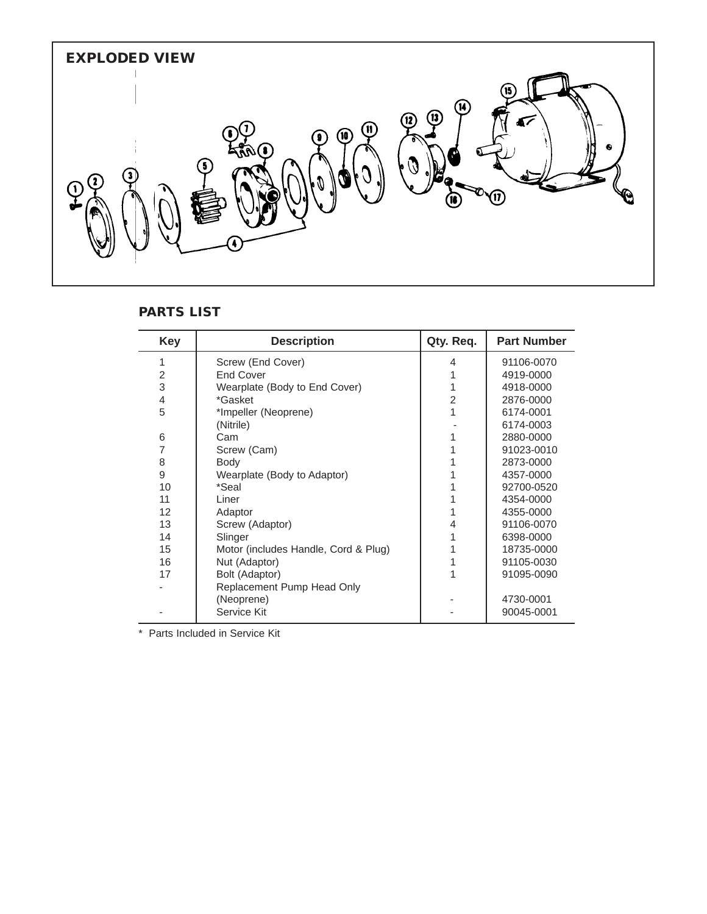

#### **PARTS LIST**

| <b>Key</b> | <b>Description</b>                   | Qty. Req.      | <b>Part Number</b> |
|------------|--------------------------------------|----------------|--------------------|
| 1          | Screw (End Cover)                    | 4              | 91106-0070         |
| 2          | <b>End Cover</b>                     |                | 4919-0000          |
| 3          | Wearplate (Body to End Cover)        | 1              | 4918-0000          |
| 4          | *Gasket                              | $\overline{2}$ | 2876-0000          |
| 5          | *Impeller (Neoprene)                 | 1              | 6174-0001          |
|            | (Nitrile)                            |                | 6174-0003          |
| 6          | Cam                                  | 1              | 2880-0000          |
| 7          | Screw (Cam)                          |                | 91023-0010         |
| 8          | Body                                 |                | 2873-0000          |
| 9          | Wearplate (Body to Adaptor)          |                | 4357-0000          |
| 10         | *Seal                                |                | 92700-0520         |
| 11         | Liner                                | 1              | 4354-0000          |
| 12         | Adaptor                              | 1              | 4355-0000          |
| 13         | Screw (Adaptor)                      | 4              | 91106-0070         |
| 14         | Slinger                              |                | 6398-0000          |
| 15         | Motor (includes Handle, Cord & Plug) | 1              | 18735-0000         |
| 16         | Nut (Adaptor)                        | 1              | 91105-0030         |
| 17         | Bolt (Adaptor)                       |                | 91095-0090         |
|            | Replacement Pump Head Only           |                |                    |
|            | (Neoprene)                           |                | 4730-0001          |
|            | Service Kit                          |                | 90045-0001         |

\* Parts Included in Service Kit